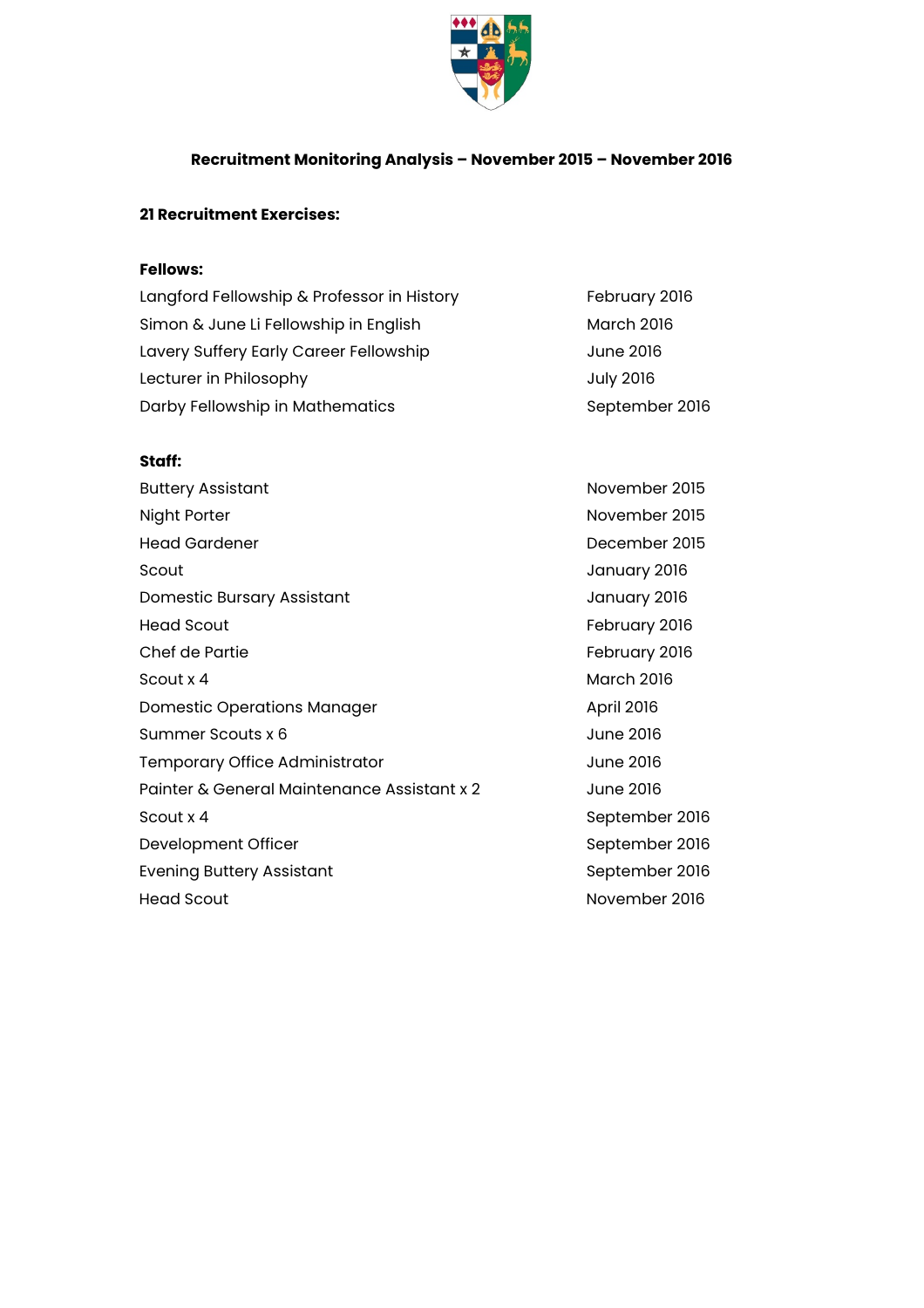

## **Recruitment Monitoring Analysis – November 2015 – November 2016**

## **21 Recruitment Exercises:**

## **Fellows:**

| Langford Fellowship & Professor in History | February 2016     |
|--------------------------------------------|-------------------|
| Simon & June Li Fellowship in English      | <b>March 2016</b> |
| Lavery Suffery Early Career Fellowship     | June 2016         |
| Lecturer in Philosophy                     | <b>July 2016</b>  |
| Darby Fellowship in Mathematics            | September 2016    |

## **Staff:**

| <b>Buttery Assistant</b>                    | November 2015     |
|---------------------------------------------|-------------------|
| Night Porter                                | November 2015     |
| <b>Head Gardener</b>                        | December 2015     |
| Scout                                       | January 2016      |
| <b>Domestic Bursary Assistant</b>           | January 2016      |
| <b>Head Scout</b>                           | February 2016     |
| Chef de Partie                              | February 2016     |
| Scout x 4                                   | <b>March 2016</b> |
| Domestic Operations Manager                 | <b>April 2016</b> |
| Summer Scouts x 6                           | June 2016         |
| Temporary Office Administrator              | June 2016         |
| Painter & General Maintenance Assistant x 2 | June 2016         |
| Scout x 4                                   | September 2016    |
| Development Officer                         | September 2016    |
| <b>Evening Buttery Assistant</b>            | September 2016    |
| <b>Head Scout</b>                           | November 2016     |
|                                             |                   |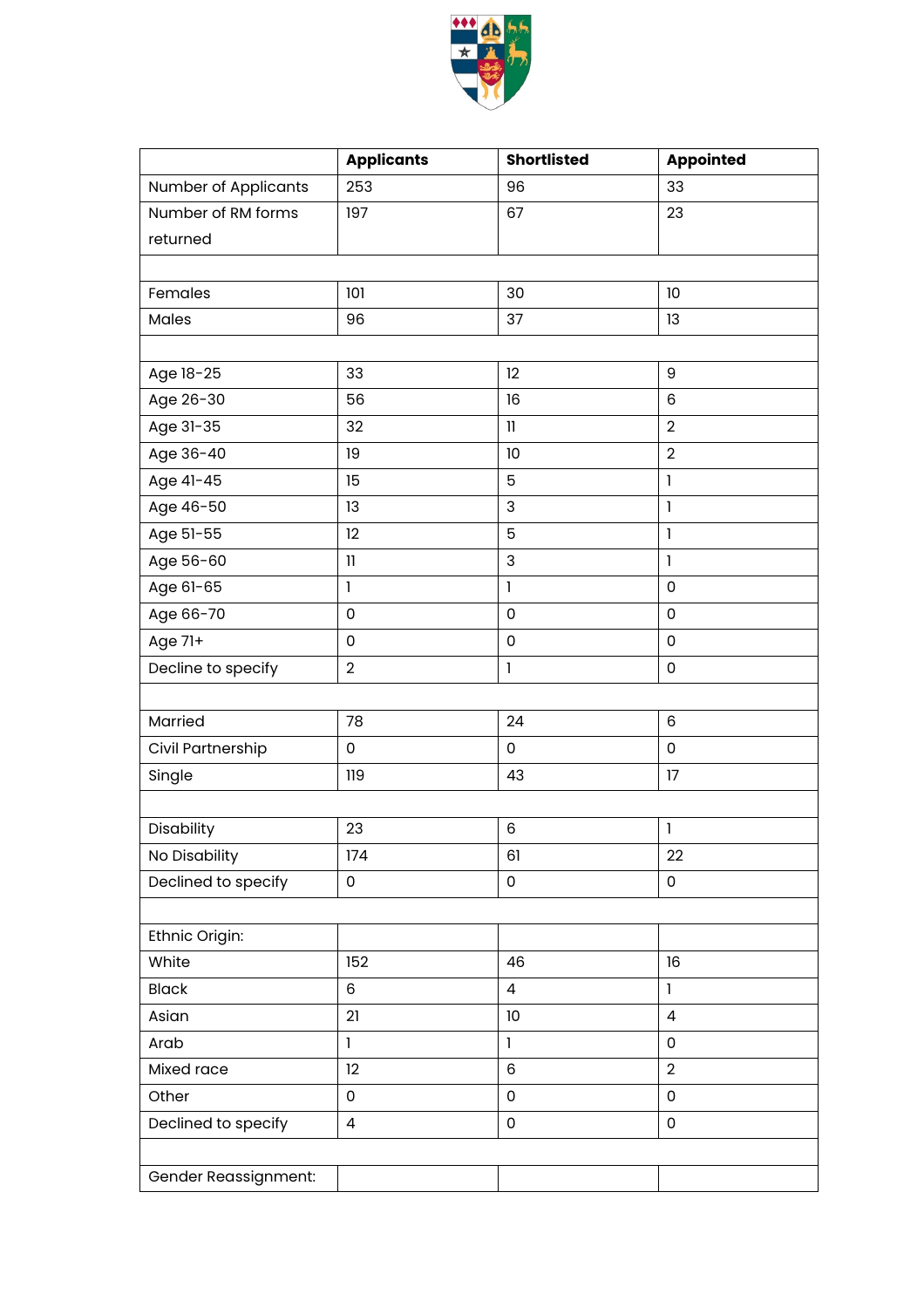

|                             | <b>Applicants</b>                     | <b>Shortlisted</b>       | <b>Appointed</b>                      |
|-----------------------------|---------------------------------------|--------------------------|---------------------------------------|
| <b>Number of Applicants</b> | 253                                   | 96                       | 33                                    |
| Number of RM forms          | 197                                   | 67                       | 23                                    |
| returned                    |                                       |                          |                                       |
|                             |                                       |                          |                                       |
| Females                     | 101                                   | 30                       | 10                                    |
| Males                       | 96                                    | 37                       | 13                                    |
|                             |                                       |                          |                                       |
| Age 18-25                   | 33                                    | 12                       | 9                                     |
| Age 26-30                   | 56                                    | 16                       | 6                                     |
| Age 31-35                   | 32                                    | $\mathbf{1}$             | $\overline{2}$                        |
| Age 36-40                   | 19                                    | 10                       | $\overline{2}$                        |
| Age 41-45                   | 15                                    | 5                        | 1                                     |
| Age 46-50                   | 13                                    | 3                        | $\mathbf{I}$                          |
| Age 51-55                   | 12                                    | 5                        | $\mathbf{I}$                          |
| Age 56-60                   | $\begin{array}{c} \hline \end{array}$ | 3                        | $\mathbf{I}$                          |
| Age 61-65                   | $\mathbf{I}$                          | 1                        | $\mathsf 0$                           |
| Age 66-70                   | $\mathsf 0$                           | $\mathsf 0$              | $\mathsf 0$                           |
| Age 71+                     | $\mathsf 0$                           | $\mathbf 0$              | $\mathsf 0$                           |
| Decline to specify          | $\overline{2}$                        | $\mathbf{I}$             | $\mathsf 0$                           |
|                             |                                       |                          |                                       |
| Married                     | 78                                    | 24                       | 6                                     |
| Civil Partnership           | $\mathsf 0$                           | 0                        | $\mathsf 0$                           |
| Single                      | 119                                   | 43                       | 17                                    |
|                             |                                       |                          |                                       |
| Disability                  | 23                                    | 6                        | $\begin{array}{c} \hline \end{array}$ |
| No Disability               | 174                                   | 61                       | 22                                    |
| Declined to specify         | $\mathsf 0$                           | 0                        | $\mathsf{O}\xspace$                   |
|                             |                                       |                          |                                       |
| Ethnic Origin:              |                                       |                          |                                       |
| White                       | 152                                   | 46                       | 16                                    |
| <b>Black</b>                | $6\,$                                 | $\overline{\mathcal{A}}$ | $\mathbf{I}$                          |
| Asian                       | 21                                    | 10                       | $\overline{\mathcal{L}}$              |
| Arab                        | 1                                     | 1                        | $\mathsf 0$                           |
| Mixed race                  | 12                                    | 6                        | $\overline{2}$                        |
| Other                       | $\mathsf{O}\xspace$                   | $\mathsf 0$              | $\mathbf 0$                           |
| Declined to specify         | $\overline{4}$                        | $\mathsf 0$              | $\mathsf{O}\xspace$                   |
|                             |                                       |                          |                                       |
| Gender Reassignment:        |                                       |                          |                                       |